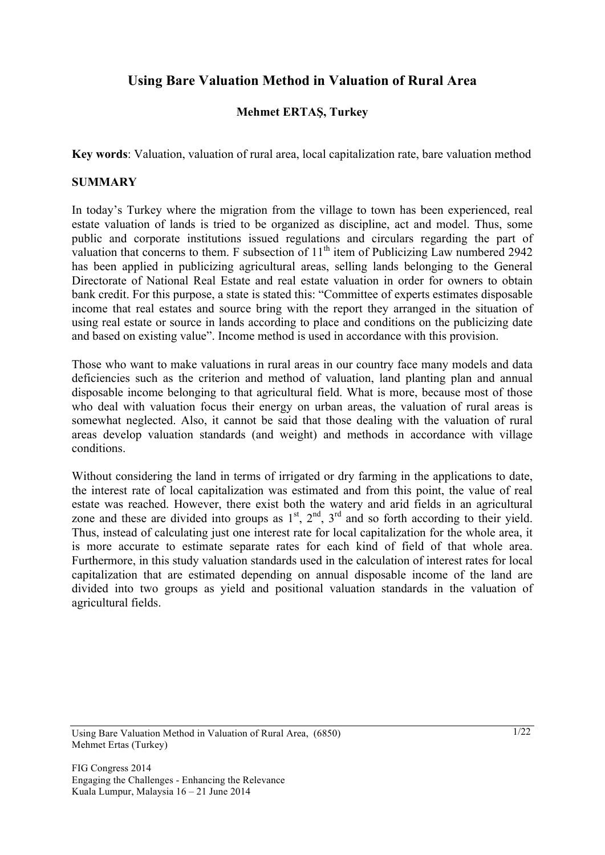# **Using Bare Valuation Method in Valuation of Rural Area**

# **Mehmet ERTAŞ, Turkey**

**Key words**: Valuation, valuation of rural area, local capitalization rate, bare valuation method

#### **SUMMARY**

In today's Turkey where the migration from the village to town has been experienced, real estate valuation of lands is tried to be organized as discipline, act and model. Thus, some public and corporate institutions issued regulations and circulars regarding the part of valuation that concerns to them. F subsection of  $11<sup>th</sup>$  item of Publicizing Law numbered 2942 has been applied in publicizing agricultural areas, selling lands belonging to the General Directorate of National Real Estate and real estate valuation in order for owners to obtain bank credit. For this purpose, a state is stated this: "Committee of experts estimates disposable income that real estates and source bring with the report they arranged in the situation of using real estate or source in lands according to place and conditions on the publicizing date and based on existing value". Income method is used in accordance with this provision.

Those who want to make valuations in rural areas in our country face many models and data deficiencies such as the criterion and method of valuation, land planting plan and annual disposable income belonging to that agricultural field. What is more, because most of those who deal with valuation focus their energy on urban areas, the valuation of rural areas is somewhat neglected. Also, it cannot be said that those dealing with the valuation of rural areas develop valuation standards (and weight) and methods in accordance with village conditions.

Without considering the land in terms of irrigated or dry farming in the applications to date, the interest rate of local capitalization was estimated and from this point, the value of real estate was reached. However, there exist both the watery and arid fields in an agricultural zone and these are divided into groups as  $1<sup>st</sup>$ ,  $2<sup>nd</sup>$ ,  $3<sup>rd</sup>$  and so forth according to their yield. Thus, instead of calculating just one interest rate for local capitalization for the whole area, it is more accurate to estimate separate rates for each kind of field of that whole area. Furthermore, in this study valuation standards used in the calculation of interest rates for local capitalization that are estimated depending on annual disposable income of the land are divided into two groups as yield and positional valuation standards in the valuation of agricultural fields.

Using Bare Valuation Method in Valuation of Rural Area, (6850) Mehmet Ertas (Turkey)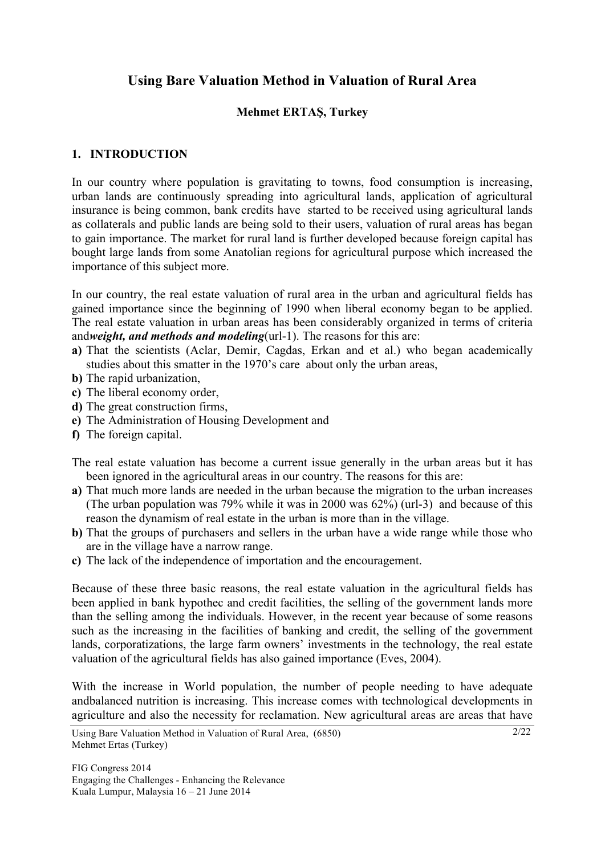# **Using Bare Valuation Method in Valuation of Rural Area**

## **Mehmet ERTAŞ, Turkey**

### **1. INTRODUCTION**

In our country where population is gravitating to towns, food consumption is increasing, urban lands are continuously spreading into agricultural lands, application of agricultural insurance is being common, bank credits have started to be received using agricultural lands as collaterals and public lands are being sold to their users, valuation of rural areas has began to gain importance. The market for rural land is further developed because foreign capital has bought large lands from some Anatolian regions for agricultural purpose which increased the importance of this subject more.

In our country, the real estate valuation of rural area in the urban and agricultural fields has gained importance since the beginning of 1990 when liberal economy began to be applied. The real estate valuation in urban areas has been considerably organized in terms of criteria and*weight, and methods and modeling*(url-1). The reasons for this are:

- **a)** That the scientists (Aclar, Demir, Cagdas, Erkan and et al.) who began academically studies about this smatter in the 1970's care about only the urban areas,
- **b)** The rapid urbanization,
- **c)** The liberal economy order,
- **d)** The great construction firms,
- **e)** The Administration of Housing Development and
- **f)** The foreign capital.
- The real estate valuation has become a current issue generally in the urban areas but it has been ignored in the agricultural areas in our country. The reasons for this are:
- **a)** That much more lands are needed in the urban because the migration to the urban increases (The urban population was 79% while it was in 2000 was 62%) (url-3) and because of this reason the dynamism of real estate in the urban is more than in the village.
- **b)** That the groups of purchasers and sellers in the urban have a wide range while those who are in the village have a narrow range.
- **c)** The lack of the independence of importation and the encouragement.

Because of these three basic reasons, the real estate valuation in the agricultural fields has been applied in bank hypothec and credit facilities, the selling of the government lands more than the selling among the individuals. However, in the recent year because of some reasons such as the increasing in the facilities of banking and credit, the selling of the government lands, corporatizations, the large farm owners' investments in the technology, the real estate valuation of the agricultural fields has also gained importance (Eves, 2004).

With the increase in World population, the number of people needing to have adequate andbalanced nutrition is increasing. This increase comes with technological developments in agriculture and also the necessity for reclamation. New agricultural areas are areas that have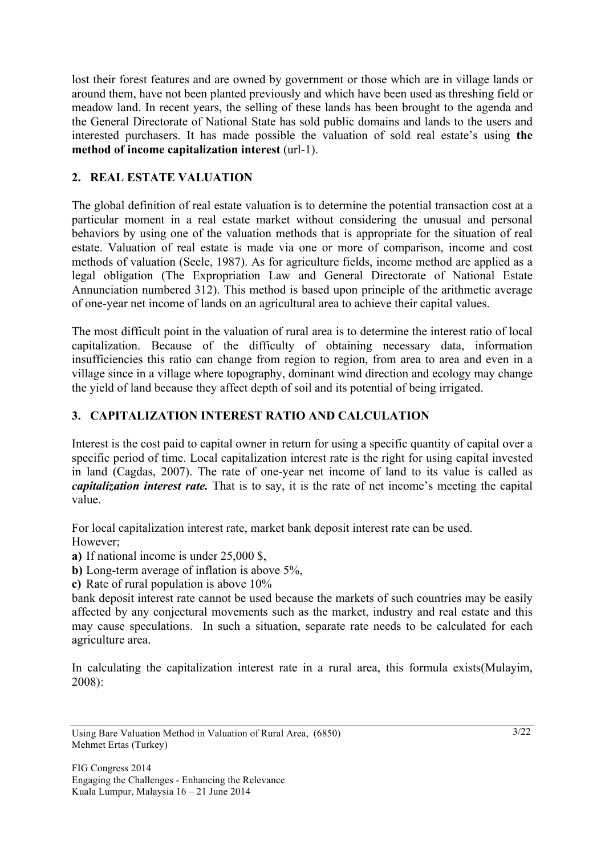lost their forest features and are owned by government or those which are in village lands or around them, have not been planted previously and which have been used as threshing field or meadow land. In recent years, the selling of these lands has been brought to the agenda and the General Directorate of National State has sold public domains and lands to the users and interested purchasers. It has made possible the valuation of sold real estate's using **the method of income capitalization interest** (url-1).

# **2. REAL ESTATE VALUATION**

The global definition of real estate valuation is to determine the potential transaction cost at a particular moment in a real estate market without considering the unusual and personal behaviors by using one of the valuation methods that is appropriate for the situation of real estate. Valuation of real estate is made via one or more of comparison, income and cost methods of valuation (Seele, 1987). As for agriculture fields, income method are applied as a legal obligation (The Expropriation Law and General Directorate of National Estate Annunciation numbered 312). This method is based upon principle of the arithmetic average of one-year net income of lands on an agricultural area to achieve their capital values.

The most difficult point in the valuation of rural area is to determine the interest ratio of local capitalization. Because of the difficulty of obtaining necessary data, information insufficiencies this ratio can change from region to region, from area to area and even in a village since in a village where topography, dominant wind direction and ecology may change the yield of land because they affect depth of soil and its potential of being irrigated.

# **3. CAPITALIZATION INTEREST RATIO AND CALCULATION**

Interest is the cost paid to capital owner in return for using a specific quantity of capital over a specific period of time. Local capitalization interest rate is the right for using capital invested in land (Cagdas, 2007). The rate of one-year net income of land to its value is called as *capitalization interest rate.* That is to say, it is the rate of net income's meeting the capital value.

For local capitalization interest rate, market bank deposit interest rate can be used. However;

**a)** If national income is under 25,000 \$,

**b)** Long-term average of inflation is above 5%,

**c)** Rate of rural population is above 10%

bank deposit interest rate cannot be used because the markets of such countries may be easily affected by any conjectural movements such as the market, industry and real estate and this may cause speculations. In such a situation, separate rate needs to be calculated for each agriculture area.

In calculating the capitalization interest rate in a rural area, this formula exists(Mulayim, 2008):

Using Bare Valuation Method in Valuation of Rural Area, (6850) Mehmet Ertas (Turkey)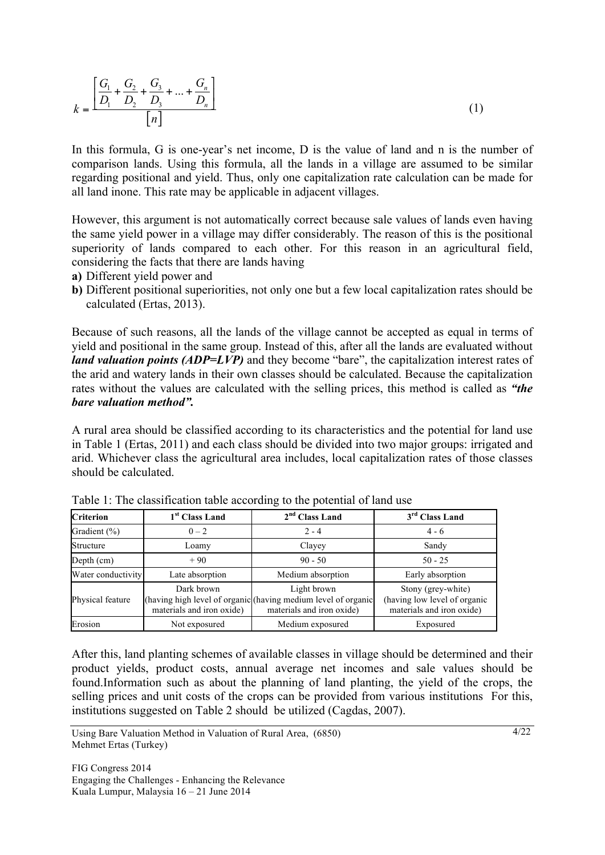$$
k = \frac{\left[\frac{G_1}{D_1} + \frac{G_2}{D_2} + \frac{G_3}{D_3} + \dots + \frac{G_n}{D_n}\right]}{\left[n\right]}
$$
(1)

In this formula, G is one-year's net income, D is the value of land and n is the number of comparison lands. Using this formula, all the lands in a village are assumed to be similar regarding positional and yield. Thus, only one capitalization rate calculation can be made for all land inone. This rate may be applicable in adjacent villages.

However, this argument is not automatically correct because sale values of lands even having the same yield power in a village may differ considerably. The reason of this is the positional superiority of lands compared to each other. For this reason in an agricultural field, considering the facts that there are lands having

- **a)** Different yield power and
- **b)** Different positional superiorities, not only one but a few local capitalization rates should be calculated (Ertas, 2013).

Because of such reasons, all the lands of the village cannot be accepted as equal in terms of yield and positional in the same group. Instead of this, after all the lands are evaluated without *land valuation points (ADP=LVP)* and they become "bare", the capitalization interest rates of the arid and watery lands in their own classes should be calculated. Because the capitalization rates without the values are calculated with the selling prices, this method is called as *"the bare valuation method".* 

A rural area should be classified according to its characteristics and the potential for land use in Table 1 (Ertas, 2011) and each class should be divided into two major groups: irrigated and arid. Whichever class the agricultural area includes, local capitalization rates of those classes should be calculated.

| <b>Criterion</b>   | 1 <sup>st</sup> Class Land              | $2nd$ Class Land                                                                                          | $3rd$ Class Land                                                                |
|--------------------|-----------------------------------------|-----------------------------------------------------------------------------------------------------------|---------------------------------------------------------------------------------|
| Gradient $(\% )$   | $0 - 2$                                 | $2 - 4$                                                                                                   | $4 - 6$                                                                         |
| Structure          | Loamy                                   | Clayey                                                                                                    | Sandy                                                                           |
| Depth (cm)         | $+90$                                   | $90 - 50$                                                                                                 | $50 - 25$                                                                       |
| Water conductivity | Late absorption                         | Medium absorption                                                                                         | Early absorption                                                                |
| Physical feature   | Dark brown<br>materials and iron oxide) | Light brown<br>(having high level of organic (having medium level of organic<br>materials and iron oxide) | Stony (grey-white)<br>(having low level of organic<br>materials and iron oxide) |
| Erosion            | Not exposured                           | Medium exposured                                                                                          | Exposured                                                                       |

| Table 1: The classification table according to the potential of land use |
|--------------------------------------------------------------------------|
|--------------------------------------------------------------------------|

After this, land planting schemes of available classes in village should be determined and their product yields, product costs, annual average net incomes and sale values should be found.Information such as about the planning of land planting, the yield of the crops, the selling prices and unit costs of the crops can be provided from various institutions For this, institutions suggested on Table 2 should be utilized (Cagdas, 2007).

Using Bare Valuation Method in Valuation of Rural Area, (6850) Mehmet Ertas (Turkey)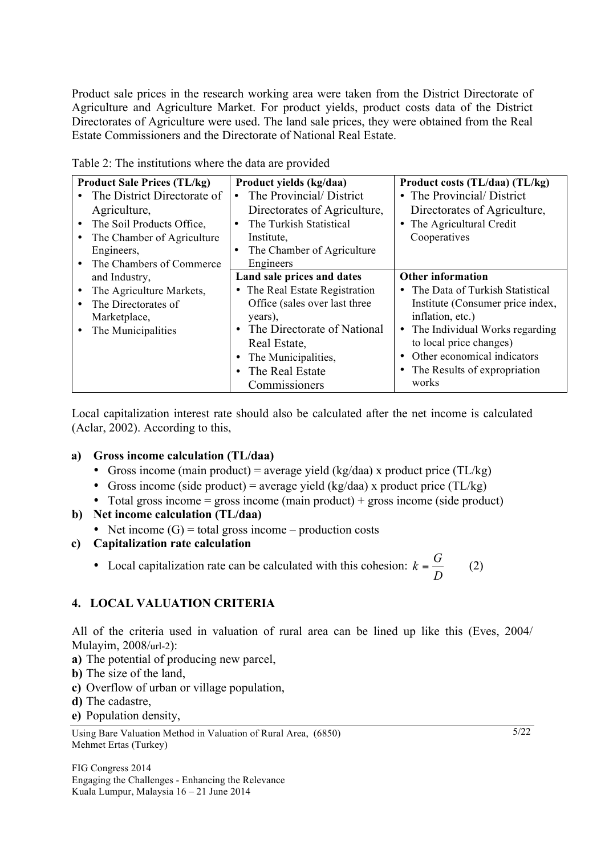Product sale prices in the research working area were taken from the District Directorate of Agriculture and Agriculture Market. For product yields, product costs data of the District Directorates of Agriculture were used. The land sale prices, they were obtained from the Real Estate Commissioners and the Directorate of National Real Estate.

| <b>Product Sale Prices (TL/kg)</b><br>The District Directorate of<br>Agriculture,<br>The Soil Products Office,      | Product yields (kg/daa)<br>The Provincial/District<br>Directorates of Agriculture,<br>The Turkish Statistical                                                                                                                                     | Product costs (TL/daa) (TL/kg)<br>• The Provincial/District<br>Directorates of Agriculture,<br>• The Agricultural Credit                                                                                                                                             |
|---------------------------------------------------------------------------------------------------------------------|---------------------------------------------------------------------------------------------------------------------------------------------------------------------------------------------------------------------------------------------------|----------------------------------------------------------------------------------------------------------------------------------------------------------------------------------------------------------------------------------------------------------------------|
| The Chamber of Agriculture<br>Engineers,<br>The Chambers of Commerce                                                | Institute,<br>The Chamber of Agriculture<br>Engineers                                                                                                                                                                                             | Cooperatives                                                                                                                                                                                                                                                         |
| and Industry,<br>The Agriculture Markets,<br>The Directorates of<br>$\bullet$<br>Marketplace,<br>The Municipalities | Land sale prices and dates<br>• The Real Estate Registration<br>Office (sales over last three<br>years),<br>The Directorate of National<br>$\bullet$<br>Real Estate,<br>The Municipalities,<br>٠<br>The Real Estate<br>$\bullet$<br>Commissioners | <b>Other information</b><br>• The Data of Turkish Statistical<br>Institute (Consumer price index,<br>inflation, etc.)<br>The Individual Works regarding<br>٠<br>to local price changes)<br>Other economical indicators<br>The Results of expropriation<br>٠<br>works |

Table 2: The institutions where the data are provided

Local capitalization interest rate should also be calculated after the net income is calculated (Aclar, 2002). According to this,

#### **a) Gross income calculation (TL/daa)**

- Gross income (main product) = average yield (kg/daa) x product price (TL/kg)
- Gross income (side product) = average yield (kg/daa) x product price (TL/kg)
- Total gross income  $=$  gross income (main product)  $+$  gross income (side product)

## **b) Net income calculation (TL/daa)**

• Net income  $(G)$  = total gross income – production costs

## **c) Capitalization rate calculation**

• Local capitalization rate can be calculated with this cohesion:  $k = \frac{G}{D}$  (2)

## **4. LOCAL VALUATION CRITERIA**

All of the criteria used in valuation of rural area can be lined up like this (Eves, 2004/ Mulayim, 2008/url-2):

- **a)** The potential of producing new parcel,
- **b)** The size of the land,
- **c)** Overflow of urban or village population,
- **d)** The cadastre,
- **e)** Population density,

FIG Congress 2014 Engaging the Challenges - Enhancing the Relevance Kuala Lumpur, Malaysia 16 – 21 June 2014

5/22

Using Bare Valuation Method in Valuation of Rural Area, (6850) Mehmet Ertas (Turkey)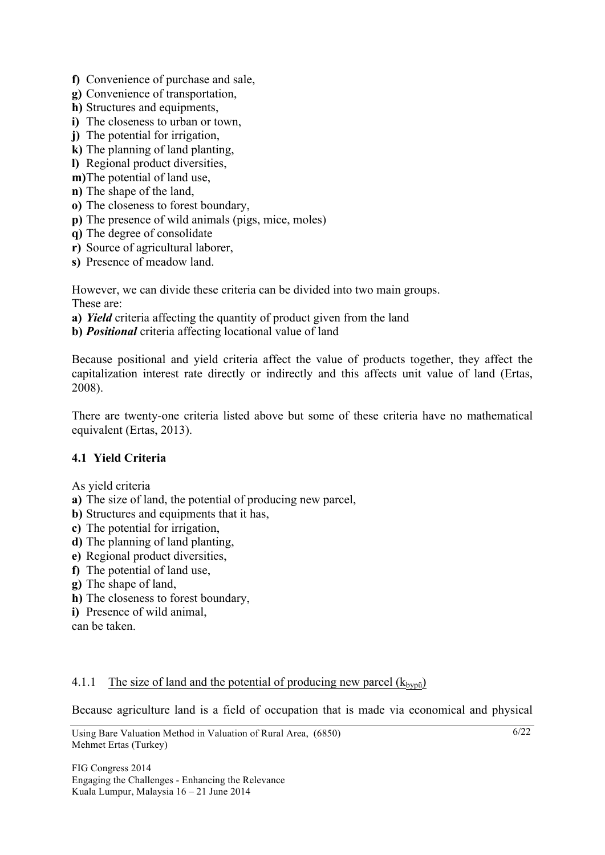- **f)** Convenience of purchase and sale,
- **g)** Convenience of transportation,
- **h**) Structures and equipments,
- **i)** The closeness to urban or town,
- **j)** The potential for irrigation,
- **k)** The planning of land planting,
- **l)** Regional product diversities,
- **m)**The potential of land use,
- **n)** The shape of the land,
- **o)** The closeness to forest boundary,
- **p)** The presence of wild animals (pigs, mice, moles)
- **q)** The degree of consolidate
- **r)** Source of agricultural laborer,
- **s)** Presence of meadow land.

However, we can divide these criteria can be divided into two main groups. These are:

- **a)** *Yield* criteria affecting the quantity of product given from the land
- **b)** *Positional* criteria affecting locational value of land

Because positional and yield criteria affect the value of products together, they affect the capitalization interest rate directly or indirectly and this affects unit value of land (Ertas, 2008).

There are twenty-one criteria listed above but some of these criteria have no mathematical equivalent (Ertas, 2013).

## **4.1 Yield Criteria**

As yield criteria

- **a)** The size of land, the potential of producing new parcel,
- **b)** Structures and equipments that it has,
- **c)** The potential for irrigation,
- **d)** The planning of land planting,
- **e)** Regional product diversities,
- **f)** The potential of land use,
- **g)** The shape of land,
- **h)** The closeness to forest boundary,
- **i)** Presence of wild animal,

can be taken.

#### 4.1.1 The size of land and the potential of producing new parcel  $(k_{bvoii})$

Because agriculture land is a field of occupation that is made via economical and physical

 $6/22$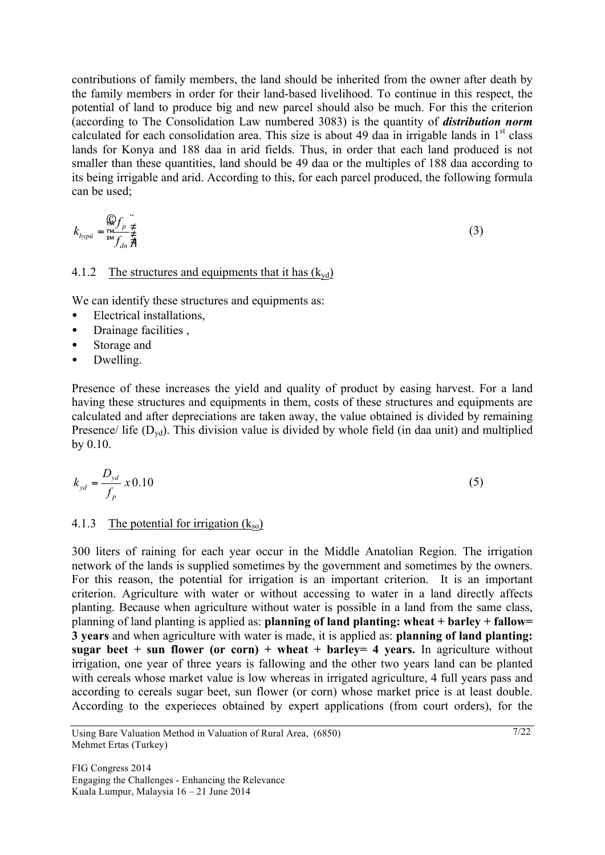contributions of family members, the land should be inherited from the owner after death by the family members in order for their land-based livelihood. To continue in this respect, the potential of land to produce big and new parcel should also be much. For this the criterion (according to The Consolidation Law numbered 3083) is the quantity of *distribution norm* calculated for each consolidation area. This size is about 49 daa in irrigable lands in  $1<sup>st</sup>$  class lands for Konya and 188 daa in arid fields. Thus, in order that each land produced is not smaller than these quantities, land should be 49 daa or the multiples of 188 daa according to its being irrigable and arid. According to this, for each parcel produced, the following formula can be used;

$$
k_{bypii} = \frac{\mathcal{Q}}{\mathcal{L}} \sum_{j=1}^{M} \frac{1}{\mathcal{L}} \tag{3}
$$

### 4.1.2 The structures and equipments that it has  $(k_{yd})$

We can identify these structures and equipments as:

- Electrical installations,
- Drainage facilities,
- Storage and
- Dwelling.

Presence of these increases the yield and quality of product by easing harvest. For a land having these structures and equipments in them, costs of these structures and equipments are calculated and after depreciations are taken away, the value obtained is divided by remaining Presence/ life  $(D<sub>vd</sub>)$ . This division value is divided by whole field (in daa unit) and multiplied by 0.10.

$$
k_{yd} = \frac{D_{yd}}{f_p} \, x \, 0.10 \tag{5}
$$

#### 4.1.3 The potential for irrigation  $(k_{so})$

300 liters of raining for each year occur in the Middle Anatolian Region. The irrigation network of the lands is supplied sometimes by the government and sometimes by the owners. For this reason, the potential for irrigation is an important criterion. It is an important criterion. Agriculture with water or without accessing to water in a land directly affects planting. Because when agriculture without water is possible in a land from the same class, planning of land planting is applied as: **planning of land planting: wheat + barley + fallow= 3 years** and when agriculture with water is made, it is applied as: **planning of land planting: sugar beet + sun flower (or corn) + wheat + barley = 4 years.** In agriculture without irrigation, one year of three years is fallowing and the other two years land can be planted with cereals whose market value is low whereas in irrigated agriculture, 4 full years pass and according to cereals sugar beet, sun flower (or corn) whose market price is at least double. According to the experieces obtained by expert applications (from court orders), for the

Using Bare Valuation Method in Valuation of Rural Area, (6850) Mehmet Ertas (Turkey)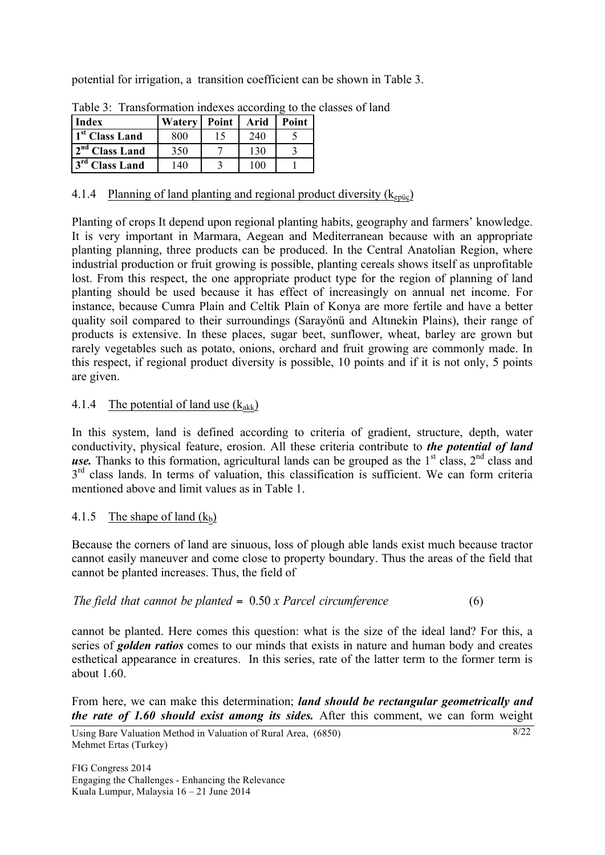potential for irrigation, a transition coefficient can be shown in Table 3.

| <b>Index</b>               | Watery   Point |  | Arid | <b>Point</b> |  |  |  |  |  |  |
|----------------------------|----------------|--|------|--------------|--|--|--|--|--|--|
| 1 <sup>st</sup> Class Land | 800            |  | 240  |              |  |  |  |  |  |  |
| 2 <sup>nd</sup> Class Land | 350            |  | 130  |              |  |  |  |  |  |  |
| 3 <sup>rd</sup> Class Land | 140            |  | 100  |              |  |  |  |  |  |  |

Table 3: Transformation indexes according to the classes of land

# 4.1.4 Planning of land planting and regional product diversity  $(k_{\text{enic}})$

Planting of crops It depend upon regional planting habits, geography and farmers' knowledge. It is very important in Marmara, Aegean and Mediterranean because with an appropriate planting planning, three products can be produced. In the Central Anatolian Region, where industrial production or fruit growing is possible, planting cereals shows itself as unprofitable lost. From this respect, the one appropriate product type for the region of planning of land planting should be used because it has effect of increasingly on annual net income. For instance, because Cumra Plain and Celtik Plain of Konya are more fertile and have a better quality soil compared to their surroundings (Sarayönü and Altınekin Plains), their range of products is extensive. In these places, sugar beet, sunflower, wheat, barley are grown but rarely vegetables such as potato, onions, orchard and fruit growing are commonly made. In this respect, if regional product diversity is possible, 10 points and if it is not only, 5 points are given.

# 4.1.4 The potential of land use  $(k_{akk})$

In this system, land is defined according to criteria of gradient, structure, depth, water conductivity, physical feature, erosion. All these criteria contribute to *the potential of land use.* Thanks to this formation, agricultural lands can be grouped as the  $1<sup>st</sup>$  class,  $2<sup>nd</sup>$  class and  $3<sup>rd</sup>$  class lands. In terms of valuation, this classification is sufficient. We can form criteria mentioned above and limit values as in Table 1.

# 4.1.5 The shape of land  $(k_b)$

Because the corners of land are sinuous, loss of plough able lands exist much because tractor cannot easily maneuver and come close to property boundary. Thus the areas of the field that cannot be planted increases. Thus, the field of

|  |  | The field that cannot be planted $= 0.50 x$ Parcel circumference | (6) |
|--|--|------------------------------------------------------------------|-----|
|--|--|------------------------------------------------------------------|-----|

cannot be planted. Here comes this question: what is the size of the ideal land? For this, a series of *golden ratios* comes to our minds that exists in nature and human body and creates esthetical appearance in creatures. In this series, rate of the latter term to the former term is about  $1.60$ 

From here, we can make this determination; *land should be rectangular geometrically and the rate of 1.60 should exist among its sides.* After this comment, we can form weight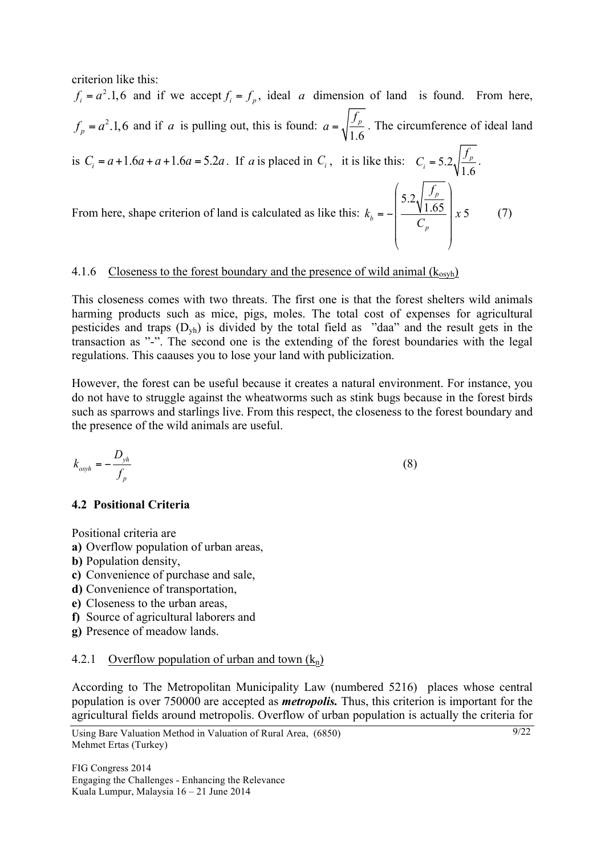criterion like this:

 $f_i = a^2.1, 6$  and if we accept  $f_i = f_p$ , ideal *a* dimension of land is found. From here,  $f_p = a^2.1,6$  and if *a* is pulling out, this is found:  $a = \sqrt{\frac{f_p}{1.6}}$  $f_{\scriptscriptstyle p}$  $a = \sqrt{\frac{J p}{16}}$ . The circumference of ideal land is  $C_i = a + 1.6a + a + 1.6a = 5.2a$ . If *a* is placed in  $C_i$ , it is like this:  $C_i = 5.2 \sqrt{\frac{J_p}{1.6}}$ *p*  $C_i = 5.2 \sqrt{\frac{f_p}{1.6}}$ . From here, shape criterion of land is calculated as like this: 5.2  $\frac{1.65}{x}$   $\frac{x}{5}$ *p b p f*  $k_{h} = -\frac{100}{x}$   $x = \frac{100}{x}$ *C*  $\left( \begin{array}{c} \begin{array}{c} \end{array} \right) f_n \end{array}$  $\frac{5.2\sqrt{\frac{9}{1.65}}}{1.65}$  $=-\frac{1000}{G}$  $\begin{vmatrix} & & & \\ & & C_n & \\ & & & \end{vmatrix}$ ⎜ ⎟  $\langle \qquad \rangle$ (7)

# 4.1.6 Closeness to the forest boundary and the presence of wild animal  $(k_{osvh})$

This closeness comes with two threats. The first one is that the forest shelters wild animals harming products such as mice, pigs, moles. The total cost of expenses for agricultural pesticides and traps  $(D_{vh})$  is divided by the total field as "daa" and the result gets in the transaction as "-". The second one is the extending of the forest boundaries with the legal regulations. This caauses you to lose your land with publicization.

However, the forest can be useful because it creates a natural environment. For instance, you do not have to struggle against the wheatworms such as stink bugs because in the forest birds such as sparrows and starlings live. From this respect, the closeness to the forest boundary and the presence of the wild animals are useful.

$$
k_{\text{osph}} = -\frac{D_{\text{yh}}}{f_p} \tag{8}
$$

## **4.2 Positional Criteria**

Positional criteria are

- **a)** Overflow population of urban areas,
- **b)** Population density,
- **c)** Convenience of purchase and sale,
- **d)** Convenience of transportation,
- **e)** Closeness to the urban areas,
- **f)** Source of agricultural laborers and
- **g)** Presence of meadow lands.

## 4.2.1 Overflow population of urban and town  $(k_n)$

According to The Metropolitan Municipality Law (numbered 5216) places whose central population is over 750000 are accepted as *metropolis.* Thus, this criterion is important for the agricultural fields around metropolis. Overflow of urban population is actually the criteria for

```
Using Bare Valuation Method in Valuation of Rural Area, (6850)
Mehmet Ertas (Turkey)
```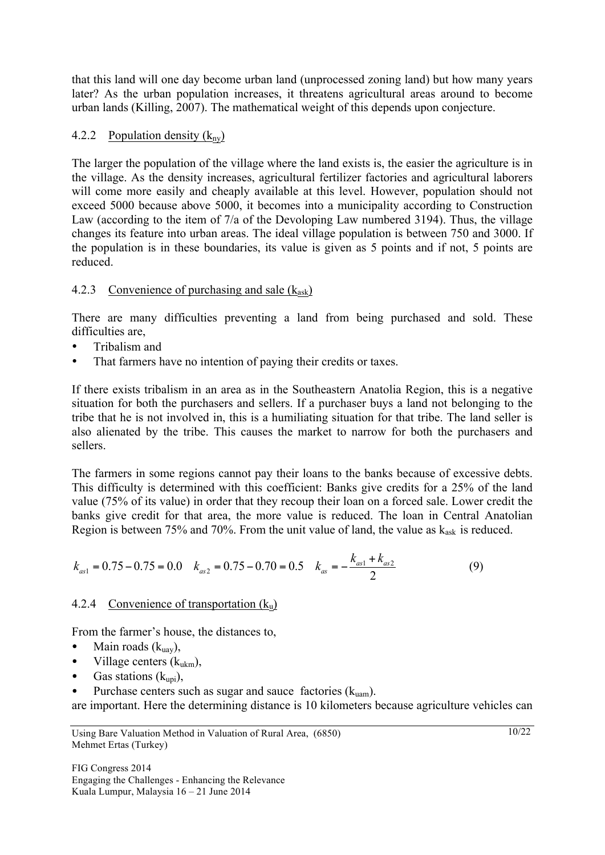that this land will one day become urban land (unprocessed zoning land) but how many years later? As the urban population increases, it threatens agricultural areas around to become urban lands (Killing, 2007). The mathematical weight of this depends upon conjecture.

## 4.2.2 Population density  $(k_{ny})$

The larger the population of the village where the land exists is, the easier the agriculture is in the village. As the density increases, agricultural fertilizer factories and agricultural laborers will come more easily and cheaply available at this level. However, population should not exceed 5000 because above 5000, it becomes into a municipality according to Construction Law (according to the item of 7/a of the Devoloping Law numbered 3194). Thus, the village changes its feature into urban areas. The ideal village population is between 750 and 3000. If the population is in these boundaries, its value is given as 5 points and if not, 5 points are reduced.

# 4.2.3 Convenience of purchasing and sale  $(k<sub>ask</sub>)$

There are many difficulties preventing a land from being purchased and sold. These difficulties are.

- Tribalism and
- That farmers have no intention of paying their credits or taxes.

If there exists tribalism in an area as in the Southeastern Anatolia Region, this is a negative situation for both the purchasers and sellers. If a purchaser buys a land not belonging to the tribe that he is not involved in, this is a humiliating situation for that tribe. The land seller is also alienated by the tribe. This causes the market to narrow for both the purchasers and sellers.

The farmers in some regions cannot pay their loans to the banks because of excessive debts. This difficulty is determined with this coefficient: Banks give credits for a 25% of the land value (75% of its value) in order that they recoup their loan on a forced sale. Lower credit the banks give credit for that area, the more value is reduced. The loan in Central Anatolian Region is between 75% and 70%. From the unit value of land, the value as  $k_{ask}$  is reduced.

$$
k_{as1} = 0.75 - 0.75 = 0.0 \t k_{as2} = 0.75 - 0.70 = 0.5 \t k_{as} = -\frac{k_{as1} + k_{as2}}{2}
$$
\n
$$
(9)
$$

## 4.2.4 Convenience of transportation  $(k_u)$

From the farmer's house, the distances to,

- Main roads  $(k_{\text{uav}})$ ,
- Village centers  $(k_{ukm})$ ,
- Gas stations  $(k_{\text{uni}})$ ,
- Purchase centers such as sugar and sauce factories  $(k_{\text{num}})$ .

are important. Here the determining distance is 10 kilometers because agriculture vehicles can

Using Bare Valuation Method in Valuation of Rural Area, (6850) Mehmet Ertas (Turkey)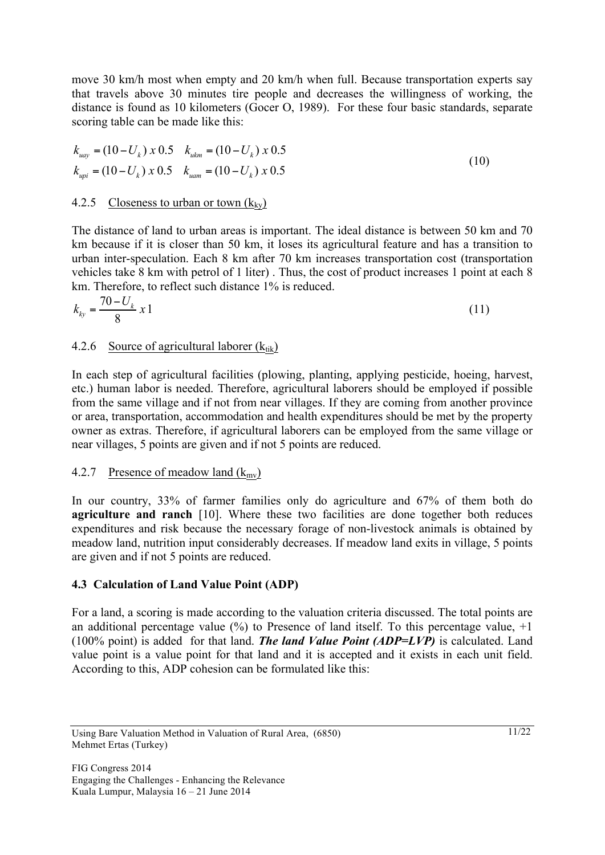move 30 km/h most when empty and 20 km/h when full. Because transportation experts say that travels above 30 minutes tire people and decreases the willingness of working, the distance is found as 10 kilometers (Gocer O, 1989). For these four basic standards, separate scoring table can be made like this:

$$
k_{uay} = (10 - U_k) \times 0.5 \t k_{ukm} = (10 - U_k) \times 0.5
$$
  
\n
$$
k_{upi} = (10 - U_k) \times 0.5 \t k_{uam} = (10 - U_k) \times 0.5
$$
\n(10)

## 4.2.5 Closeness to urban or town  $(k_{kv})$

The distance of land to urban areas is important. The ideal distance is between 50 km and 70 km because if it is closer than 50 km, it loses its agricultural feature and has a transition to urban inter-speculation. Each 8 km after 70 km increases transportation cost (transportation vehicles take 8 km with petrol of 1 liter) . Thus, the cost of product increases 1 point at each 8 km. Therefore, to reflect such distance 1% is reduced.

$$
k_{ky} = \frac{70 - U_k}{8} \, x \, 1 \tag{11}
$$

### 4.2.6 Source of agricultural laborer  $(k_{tik})$

In each step of agricultural facilities (plowing, planting, applying pesticide, hoeing, harvest, etc.) human labor is needed. Therefore, agricultural laborers should be employed if possible from the same village and if not from near villages. If they are coming from another province or area, transportation, accommodation and health expenditures should be met by the property owner as extras. Therefore, if agricultural laborers can be employed from the same village or near villages, 5 points are given and if not 5 points are reduced.

#### 4.2.7 Presence of meadow land  $(k_{\text{mv}})$

In our country, 33% of farmer families only do agriculture and 67% of them both do **agriculture and ranch** [10]. Where these two facilities are done together both reduces expenditures and risk because the necessary forage of non-livestock animals is obtained by meadow land, nutrition input considerably decreases. If meadow land exits in village, 5 points are given and if not 5 points are reduced.

## **4.3 Calculation of Land Value Point (ADP)**

For a land, a scoring is made according to the valuation criteria discussed. The total points are an additional percentage value  $(\%)$  to Presence of land itself. To this percentage value,  $+1$ (100% point) is added for that land. *The land Value Point (ADP=LVP)* is calculated. Land value point is a value point for that land and it is accepted and it exists in each unit field. According to this, ADP cohesion can be formulated like this:

Using Bare Valuation Method in Valuation of Rural Area, (6850) Mehmet Ertas (Turkey)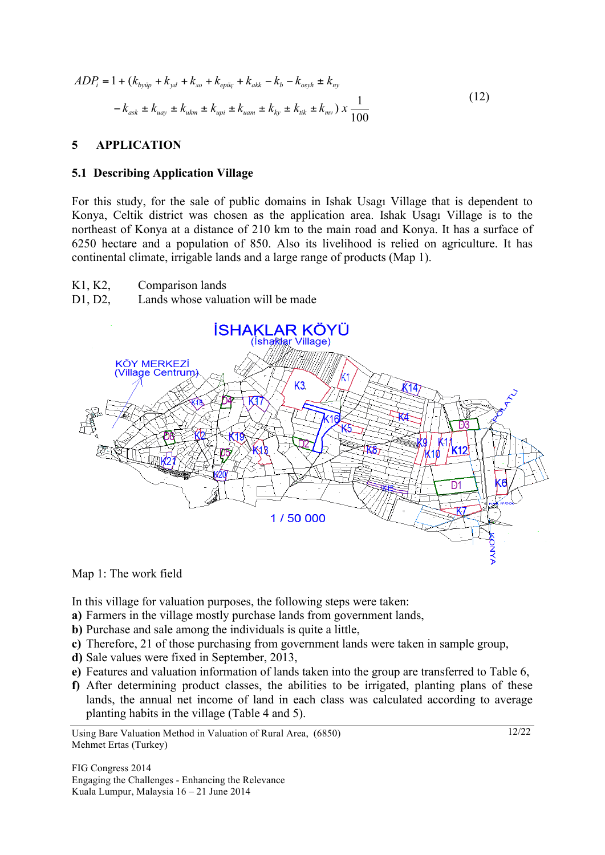$$
ADP_i = 1 + (k_{by\bar{u}p} + k_{yd} + k_{so} + k_{ep\bar{u}q} + k_{ak} - k_b - k_{osyh} \pm k_{ny}
$$
  

$$
-k_{ask} \pm k_{uay} \pm k_{ukm} \pm k_{upi} \pm k_{uam} \pm k_{ky} \pm k_{tik} \pm k_{mv}) x \frac{1}{100}
$$
 (12)

### **5 APPLICATION**

#### **5.1 Describing Application Village**

For this study, for the sale of public domains in Ishak Usagı Village that is dependent to Konya, Celtik district was chosen as the application area. Ishak Usagı Village is to the northeast of Konya at a distance of 210 km to the main road and Konya. It has a surface of 6250 hectare and a population of 850. Also its livelihood is relied on agriculture. It has continental climate, irrigable lands and a large range of products (Map 1).

- K1, K2, Comparison lands
- D1, D2, Lands whose valuation will be made



#### Map 1: The work field

In this village for valuation purposes, the following steps were taken:

- **a)** Farmers in the village mostly purchase lands from government lands,
- **b)** Purchase and sale among the individuals is quite a little,
- **c)** Therefore, 21 of those purchasing from government lands were taken in sample group,
- **d)** Sale values were fixed in September, 2013,
- **e)** Features and valuation information of lands taken into the group are transferred to Table 6,
- **f)** After determining product classes, the abilities to be irrigated, planting plans of these lands, the annual net income of land in each class was calculated according to average planting habits in the village (Table 4 and 5).

Using Bare Valuation Method in Valuation of Rural Area, (6850) Mehmet Ertas (Turkey)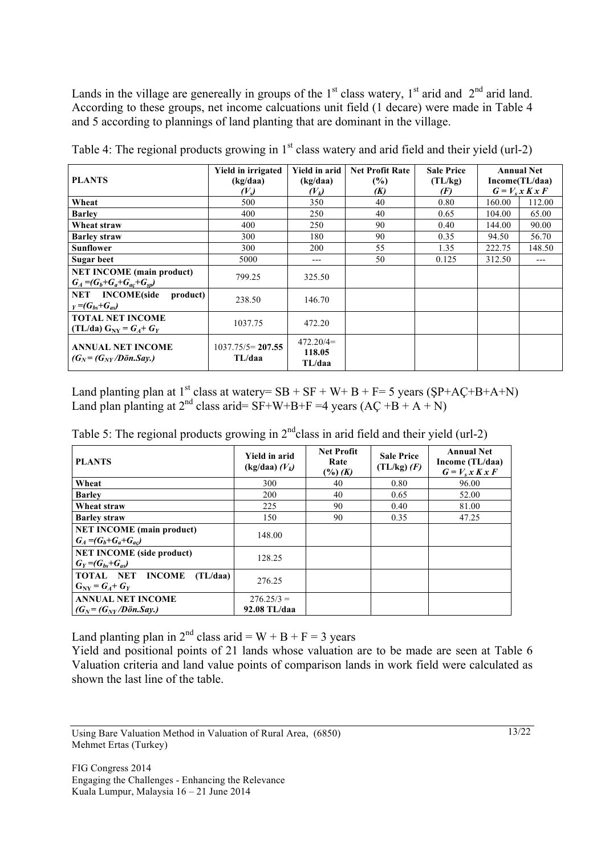Lands in the village are genereally in groups of the  $1<sup>st</sup>$  class watery,  $1<sup>st</sup>$  arid and  $2<sup>nd</sup>$  arid land. According to these groups, net income calcuations unit field (1 decare) were made in Table 4 and 5 according to plannings of land planting that are dominant in the village.

|                                                               | <b>Yield in irrigated</b>    | <b>Yield in arid</b>            | <b>Net Profit Rate</b> | <b>Sale Price</b> |        | <b>Annual Net</b> |
|---------------------------------------------------------------|------------------------------|---------------------------------|------------------------|-------------------|--------|-------------------|
| <b>PLANTS</b>                                                 | (kg/daa)                     | (kg/daa)                        | (%)                    | (TL/kg)           |        | Income(TL/daa)    |
|                                                               | (V <sub>s</sub> )            | $(V_k)$                         | (K)                    | (F)               |        | $G = V_s x K x F$ |
| Wheat                                                         | 500                          | 350                             | 40                     | 0.80              | 160.00 | 112.00            |
| <b>Barley</b>                                                 | 400                          | 250                             | 40                     | 0.65              | 104.00 | 65.00             |
| Wheat straw                                                   | 400                          | 250                             | 90                     | 0.40              | 144.00 | 90.00             |
| <b>Barley straw</b>                                           | 300                          | 180                             | 90                     | 0.35              | 94.50  | 56.70             |
| Sunflower                                                     | 300                          | 200                             | 55                     | 1.35              | 222.75 | 148.50            |
| Sugar beet                                                    | 5000                         | ---                             | 50                     | 0.125             | 312.50 | $---$             |
| <b>NET INCOME</b> (main product)                              | 799.25                       | 325.50                          |                        |                   |        |                   |
| $G_4 = (G_b + G_a + G_{ac} + G_{sp})$                         |                              |                                 |                        |                   |        |                   |
| <b>NET</b> INCOME(side<br>product)                            | 238.50                       | 146.70                          |                        |                   |        |                   |
| $Y = (G_{bs} + G_{as})$                                       |                              |                                 |                        |                   |        |                   |
| <b>TOTAL NET INCOME</b>                                       | 1037.75                      | 472.20                          |                        |                   |        |                   |
| $(TL/da) GNY = GA + GY$                                       |                              |                                 |                        |                   |        |                   |
| <b>ANNUAL NET INCOME</b><br>$(G_N = (G_{NY}/D\ddot{o}n.Sav.)$ | $1037.75/5=207.55$<br>TL/daa | $472.20/4=$<br>118.05<br>TL/daa |                        |                   |        |                   |

Table 4: The regional products growing in  $1<sup>st</sup>$  class watery and arid field and their yield (url-2)

Land planting plan at 1<sup>st</sup> class at watery=  $SB + SF + W + B + F = 5$  years ( $SP + AC + B + A + N$ ) Land plan planting at  $2^{nd}$  class arid= SF+W+B+F =4 years (AC +B + A + N)

| Table 5: The regional products growing in $2nd$ class in arid field and their yield (url-2) |  |  |  |  |
|---------------------------------------------------------------------------------------------|--|--|--|--|
|                                                                                             |  |  |  |  |

| <b>PLANTS</b>                                                    | <b>Yield in arid</b><br>$(kg/daa) (V_k)$ | <b>Net Profit</b><br>Rate<br>$(\frac{6}{6})$ (K) | <b>Sale Price</b><br>$(TL/kg)$ $(F)$ | <b>Annual Net</b><br>Income (TL/daa)<br>$G = V_s x K x F$ |
|------------------------------------------------------------------|------------------------------------------|--------------------------------------------------|--------------------------------------|-----------------------------------------------------------|
| Wheat                                                            | 300                                      | 40                                               | 0.80                                 | 96.00                                                     |
| <b>Barley</b>                                                    | 200                                      | 40                                               | 0.65                                 | 52.00                                                     |
| Wheat straw                                                      | 225                                      | 90                                               | 0.40                                 | 81.00                                                     |
| <b>Barley straw</b>                                              | 150                                      | 90                                               | 0.35                                 | 47.25                                                     |
| <b>NET INCOME</b> (main product)<br>$G_A = (G_b + G_a + G_{ac})$ | 148.00                                   |                                                  |                                      |                                                           |
| <b>NET INCOME</b> (side product)<br>$G_Y = (G_{bs} + G_{as})$    | 128.25                                   |                                                  |                                      |                                                           |
| TOTAL NET INCOME<br>(TL/daa)<br>$G_{NV} = G_A + G_V$             | 276.25                                   |                                                  |                                      |                                                           |
| <b>ANNUAL NET INCOME</b><br>$(G_N = (G_{NY}/D\ddot{o}n.Say.)$    | $276.25/3 =$<br>92.08 TL/daa             |                                                  |                                      |                                                           |

Land planting plan in  $2^{nd}$  class arid = W + B + F = 3 years

Yield and positional points of 21 lands whose valuation are to be made are seen at Table 6 Valuation criteria and land value points of comparison lands in work field were calculated as shown the last line of the table.

Using Bare Valuation Method in Valuation of Rural Area, (6850) Mehmet Ertas (Turkey)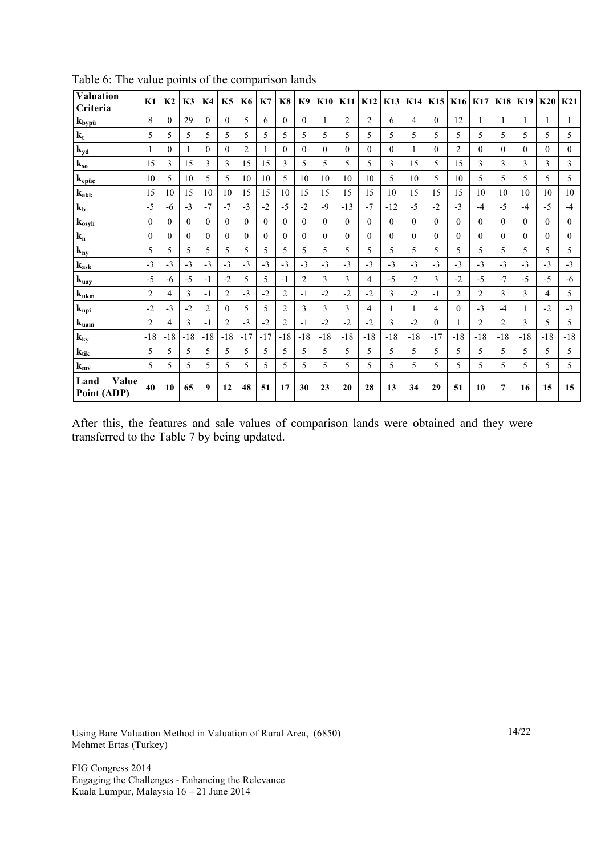| <b>Valuation</b><br>Criteria                   | K1             | K <sub>2</sub> | K3       | K <sub>4</sub> | K5             | <b>K6</b>      | K7           | K8             | K <sub>9</sub> | K10      | <b>K11</b>   | K12            | <b>K13</b> | <b>K14</b>     | K15      | K16            | <b>K17</b>     | <b>K18</b> | K19          | K20          | K <sub>21</sub> |
|------------------------------------------------|----------------|----------------|----------|----------------|----------------|----------------|--------------|----------------|----------------|----------|--------------|----------------|------------|----------------|----------|----------------|----------------|------------|--------------|--------------|-----------------|
| $k_{b\underline{y}\underline{p}\underline{u}}$ | 8              | $\Omega$       | 29       | $\Omega$       | $\theta$       | 5              | 6            | $\Omega$       | $\theta$       | 1        | 2            | $\overline{c}$ | 6          | 4              | $\theta$ | 12             | 1              |            |              |              |                 |
| $k_t$                                          | 5              | 5              | 5        | 5              | 5              | 5              | 5            | 5              | 5              | 5        | 5            | 5              | 5          | 5              | 5        | 5              | 5              | 5          | 5            | 5            | 5               |
| $k_{yd}$                                       |                | $\Omega$       | 1        | $\theta$       | $\Omega$       | $\overline{c}$ | 1            | $\Omega$       | $\Omega$       | $\Omega$ | $\theta$     | $\Omega$       | $\Omega$   | 1              | $\Omega$ | $\overline{2}$ | $\theta$       | $\theta$   | $\mathbf{0}$ | $\theta$     | $\overline{0}$  |
| $k_{so}$                                       | 15             | 3              | 15       | 3              | 3              | 15             | 15           | 3              | 5              | 5        | 5            | 5              | 3          | 15             | 5        | 15             | 3              | 3          | 3            | 3            | 3               |
| $k_{ep\ddot{u}\dot{c}}$                        | 10             | 5              | 10       | 5              | 5              | 10             | 10           | 5              | 10             | 10       | 10           | 10             | 5          | 10             | 5        | 10             | 5              | 5          | 5            | 5            | 5               |
| $k_{akk}$                                      | 15             | 10             | 15       | 10             | 10             | 15             | 15           | 10             | 15             | 15       | 15           | 15             | 10         | 15             | 15       | 15             | 10             | 10         | 10           | 10           | 10              |
| $k_b$                                          | $-5$           | -6             | $-3$     | $-7$           | $-7$           | $-3$           | $-2$         | $-5$           | $-2$           | $-9$     | $-13$        | $-7$           | $-12$      | $-5$           | $-2$     | $-3$           | $-4$           | $-5$       | $-4$         | $-5$         | $-4$            |
| $k_{osyh}$                                     | $\Omega$       | $\Omega$       | $\theta$ | $\Omega$       | $\Omega$       | $\Omega$       | $\theta$     | $\Omega$       | $\Omega$       | $\Omega$ | $\theta$     | $\Omega$       | $\theta$   | $\theta$       | $\Omega$ | $\theta$       | $\theta$       | $\Omega$   | $\Omega$     | $\Omega$     | $\theta$        |
| $k_{n}$                                        | $\theta$       | $\Omega$       | $\Omega$ | $\Omega$       | $\Omega$       | $\theta$       | $\mathbf{0}$ | $\Omega$       | $\Omega$       | $\theta$ | $\mathbf{0}$ | $\theta$       | $\theta$   | $\overline{0}$ | $\Omega$ | $\theta$       | $\theta$       | $\theta$   | $\mathbf{0}$ | $\mathbf{0}$ | $\overline{0}$  |
| $k_{ny}$                                       | 5              | 5              | 5        | 5              | 5              | 5              | 5            | 5              | 5              | 5        | 5            | 5              | 5          | 5              | 5        | 5              | 5              | 5          | 5            | 5            | 5               |
| $k_{ask}$                                      | $-3$           | $-3$           | $-3$     | $-3$           | $-3$           | $-3$           | $-3$         | $-3$           | $-3$           | $-3$     | $-3$         | $-3$           | $-3$       | $-3$           | $-3$     | $-3$           | $-3$           | $-3$       | $-3$         | $-3$         | $-3$            |
| $k_{\underline{u}a\underline{y}}$              | $-5$           | -6             | $-5$     | $-1$           | $-2$           | 5              | 5            | $-1$           | $\overline{2}$ | 3        | 3            | 4              | $-5$       | $-2$           | 3        | $-2$           | $-5$           | $-7$       | $-5$         | $-5$         | $-6$            |
| $k_{ukm}$                                      | $\overline{2}$ | 4              | 3        | $-1$           | $\overline{c}$ | $-3$           | $-2$         | $\overline{2}$ | $-1$           | $-2$     | $-2$         | $-2$           | 3          | $-2$           | $-1$     | $\overline{2}$ | 2              | 3          | 3            | 4            | 5               |
| $\mathbf{k}_{\text{upi}}$                      | $-2$           | $-3$           | $-2$     | $\overline{c}$ | $\Omega$       | 5              | 5            | $\overline{2}$ | 3              | 3        | 3            | $\overline{4}$ |            | 1              | 4        | $\Omega$       | $-3$           | $-4$       | 1            | $-2$         | $-3$            |
| $k_{\text{uam}}$                               | $\overline{2}$ | 4              | 3        | $-1$           | $\overline{2}$ | $-3$           | $-2$         | $\overline{2}$ | $-1$           | $-2$     | $-2$         | $-2$           | 3          | $-2$           | $\Omega$ | 1              | $\overline{c}$ | 2          | 3            | 5            | 5               |
| $k_{ky}$                                       | $-18$          | $-18$          | $-18$    | $-18$          | $-18$          | $-17$          | $-17$        | $-18$          | $-18$          | $-18$    | $-18$        | $-18$          | $-18$      | $-18$          | $-17$    | $-18$          | $-18$          | $-18$      | $-18$        | $-18$        | $-18$           |
| $k_{tik}$                                      | 5              | 5              | 5        | 5              | 5              | 5              | 5            | 5              | 5              | 5        | 5            | 5              | 5          | 5              | 5        | 5              | 5              | 5          | 5            | 5            | 5               |
| $k_{mv}$                                       | 5              | 5              | 5        | 5              | 5              | 5              | 5            | 5              | 5              | 5        | 5            | 5              | 5          | 5              | 5        | 5              | 5              | 5          | 5            | 5            | 5               |
| Value<br>Land<br>Point (ADP)                   | 40             | 10             | 65       | 9              | 12             | 48             | 51           | 17             | 30             | 23       | 20           | 28             | 13         | 34             | 29       | 51             | 10             | 7          | 16           | 15           | 15              |

Table 6: The value points of the comparison lands

After this, the features and sale values of comparison lands were obtained and they were transferred to the Table 7 by being updated.

Using Bare Valuation Method in Valuation of Rural Area, (6850) Mehmet Ertas (Turkey)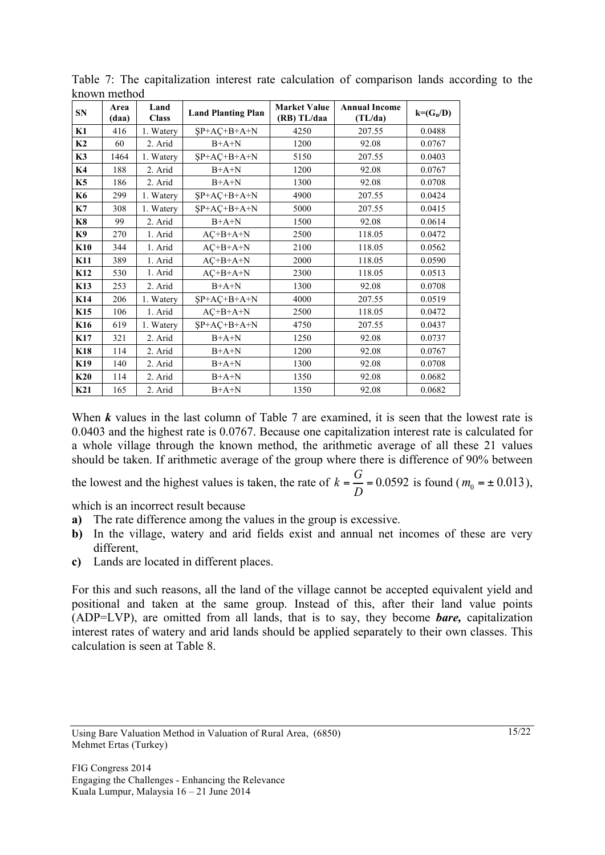| <b>SN</b>       | Area<br>(daa) | Land<br><b>Class</b> | <b>Land Planting Plan</b> | <b>Market Value</b><br>(RB) TL/daa | <b>Annual Income</b><br>(TL/da) | $k=(G_n/D)$ |
|-----------------|---------------|----------------------|---------------------------|------------------------------------|---------------------------------|-------------|
| K1              | 416           | 1. Watery            | $SP + AC + B + A + N$     | 4250                               | 207.55                          | 0.0488      |
| K2              | 60            | 2. Arid              | $B+A+N$                   | 1200                               | 92.08                           | 0.0767      |
| K3              | 1464          | 1. Watery            | $SP+AC+B+A+N$             | 5150                               | 207.55                          | 0.0403      |
| K4              | 188           | 2. Arid              | $B+A+N$                   | 1200                               | 92.08                           | 0.0767      |
| K5              | 186           | 2. Arid              | $B+A+N$                   | 1300                               | 92.08                           | 0.0708      |
| K6              | 299           | 1. Watery            | $SP+AC+B+A+N$             | 4900                               | 207.55                          | 0.0424      |
| K7              | 308           | 1. Watery            | $SP+AC+B+A+N$             | 5000                               | 207.55                          | 0.0415      |
| <b>K8</b>       | 99            | 2. Arid              | $B+A+N$                   | 1500                               | 92.08                           | 0.0614      |
| K9              | 270           | 1. Arid              | $AC+B+A+N$                | 2500                               | 118.05                          | 0.0472      |
| K10             | 344           | 1. Arid              | $AC+B+A+N$                | 2100                               | 118.05                          | 0.0562      |
| K11             | 389           | 1. Arid              | $AC+B+A+N$                | 2000                               | 118.05                          | 0.0590      |
| K12             | 530           | 1. Arid              | $AC+B+A+N$                | 2300                               | 118.05                          | 0.0513      |
| K13             | 253           | 2. Arid              | $B+A+N$                   | 1300                               | 92.08                           | 0.0708      |
| K14             | 206           | 1. Watery            | $SP+AC+B+A+N$             | 4000                               | 207.55                          | 0.0519      |
| K15             | 106           | 1. Arid              | $AC+B+A+N$                | 2500                               | 118.05                          | 0.0472      |
| K16             | 619           | 1. Watery            | $SP+AC+B+A+N$             | 4750                               | 207.55                          | 0.0437      |
| <b>K17</b>      | 321           | 2. Arid              | $B+A+N$                   | 1250                               | 92.08                           | 0.0737      |
| <b>K18</b>      | 114           | 2. Arid              | $B+A+N$                   | 1200                               | 92.08                           | 0.0767      |
| K19             | 140           | 2. Arid              | $B+A+N$                   | 1300                               | 92.08                           | 0.0708      |
| K20             | 114           | 2. Arid              | $B+A+N$                   | 1350                               | 92.08                           | 0.0682      |
| K <sub>21</sub> | 165           | 2. Arid              | $B+A+N$                   | 1350                               | 92.08                           | 0.0682      |

Table 7: The capitalization interest rate calculation of comparison lands according to the known method

When *k* values in the last column of Table 7 are examined, it is seen that the lowest rate is 0.0403 and the highest rate is 0.0767. Because one capitalization interest rate is calculated for a whole village through the known method, the arithmetic average of all these 21 values should be taken. If arithmetic average of the group where there is difference of 90% between

the lowest and the highest values is taken, the rate of  $k = \frac{G}{D} = 0.0592$  is found ( $m_0 = \pm 0.013$ ),

which is an incorrect result because

- **a)** The rate difference among the values in the group is excessive.
- **b)** In the village, watery and arid fields exist and annual net incomes of these are very different,
- **c)** Lands are located in different places.

For this and such reasons, all the land of the village cannot be accepted equivalent yield and positional and taken at the same group. Instead of this, after their land value points (ADP=LVP), are omitted from all lands, that is to say, they become *bare,* capitalization interest rates of watery and arid lands should be applied separately to their own classes. This calculation is seen at Table 8.

Using Bare Valuation Method in Valuation of Rural Area, (6850) Mehmet Ertas (Turkey)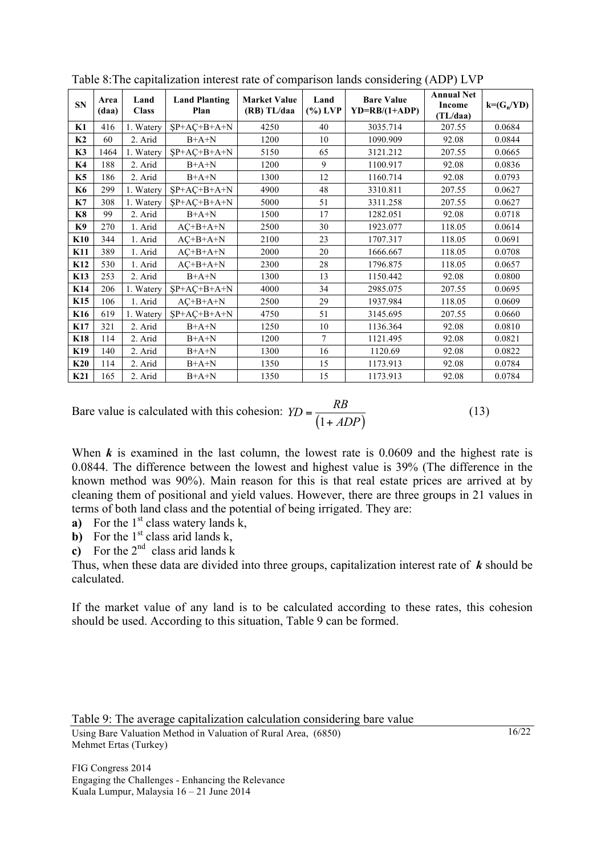| <b>SN</b> | Area<br>(daa) | Land<br><b>Class</b> | <b>Land Planting</b><br>Plan | <b>Market Value</b><br>(RB) TL/daa | Land<br>$(\%)$ LVP | <b>Bare Value</b><br>$YD=R B/(1+ADP)$ | <b>Annual Net</b><br>Income<br>(TL/daa) | $k = (G_n/YD)$ |
|-----------|---------------|----------------------|------------------------------|------------------------------------|--------------------|---------------------------------------|-----------------------------------------|----------------|
| K1        | 416           | 1. Watery            | $SP+AC+B+A+N$                | 4250                               | 40                 | 3035.714                              | 207.55                                  | 0.0684         |
| K2        | 60            | 2. Arid              | $B+A+N$                      | 1200                               | 10                 | 1090.909                              | 92.08                                   | 0.0844         |
| K3        | 1464          | 1. Watery            | $SP+AC+B+A+N$                | 5150                               | 65                 | 3121.212                              | 207.55                                  | 0.0665         |
| K4        | 188           | 2. Arid              | $B+A+N$                      | 1200                               | 9                  | 1100.917                              | 92.08                                   | 0.0836         |
| <b>K5</b> | 186           | 2. Arid              | $B+A+N$                      | 1300                               | 12                 | 1160.714                              | 92.08                                   | 0.0793         |
| K6        | 299           | 1. Watery            | $SP+AC+B+A+N$                | 4900                               | 48                 | 3310.811                              | 207.55                                  | 0.0627         |
| K7        | 308           | 1. Watery            | $SP + AC + B + A + N$        | 5000                               | 51                 | 3311.258                              | 207.55                                  | 0.0627         |
| <b>K8</b> | 99            | 2. Arid              | $B+A+N$                      | 1500                               | 17                 | 1282.051                              | 92.08                                   | 0.0718         |
| K9        | 270           | 1. Arid              | $AC+B+A+N$                   | 2500                               | 30                 | 1923.077                              | 118.05                                  | 0.0614         |
| K10       | 344           | 1. Arid              | $AC+B+A+N$                   | 2100                               | 23                 | 1707.317                              | 118.05                                  | 0.0691         |
| K11       | 389           | 1. Arid              | $AC+B+A+N$                   | 2000                               | 20                 | 1666.667                              | 118.05                                  | 0.0708         |
| K12       | 530           | 1. Arid              | $AC+B+A+N$                   | 2300                               | 28                 | 1796.875                              | 118.05                                  | 0.0657         |
| K13       | 253           | 2. Arid              | $B+A+N$                      | 1300                               | 13                 | 1150.442                              | 92.08                                   | 0.0800         |
| K14       | 206           | 1. Watery            | $SP+AC+B+A+N$                | 4000                               | 34                 | 2985.075                              | 207.55                                  | 0.0695         |
| K15       | 106           | 1. Arid              | $AC+B+A+N$                   | 2500                               | 29                 | 1937.984                              | 118.05                                  | 0.0609         |
| K16       | 619           | 1. Watery            | $SP+AC+B+A+N$                | 4750                               | 51                 | 3145.695                              | 207.55                                  | 0.0660         |
| K17       | 321           | 2. Arid              | $B+A+N$                      | 1250                               | 10                 | 1136.364                              | 92.08                                   | 0.0810         |
| K18       | 114           | 2. Arid              | $B+A+N$                      | 1200                               | $\overline{7}$     | 1121.495                              | 92.08                                   | 0.0821         |
| K19       | 140           | 2. Arid              | $B+A+N$                      | 1300                               | 16                 | 1120.69                               | 92.08                                   | 0.0822         |
| K20       | 114           | 2. Arid              | $B+A+N$                      | 1350                               | 15                 | 1173.913                              | 92.08                                   | 0.0784         |
| K21       | 165           | 2. Arid              | $B+A+N$                      | 1350                               | 15                 | 1173.913                              | 92.08                                   | 0.0784         |

Table 8:The capitalization interest rate of comparison lands considering (ADP) LVP

Bare value is calculated with this cohesion:  $YD = \frac{RB}{(1 + ADP)}$  $=\frac{1}{(1+ADP)}$ (13)

When *k* is examined in the last column, the lowest rate is 0.0609 and the highest rate is 0.0844. The difference between the lowest and highest value is 39% (The difference in the known method was 90%). Main reason for this is that real estate prices are arrived at by cleaning them of positional and yield values. However, there are three groups in 21 values in terms of both land class and the potential of being irrigated. They are:

**a**) For the  $1<sup>st</sup>$  class watery lands k,

**b**) For the  $1<sup>st</sup>$  class arid lands k,

**c**) For the  $2^{nd}$  class arid lands k

Thus, when these data are divided into three groups, capitalization interest rate of *k* should be calculated.

If the market value of any land is to be calculated according to these rates, this cohesion should be used. According to this situation, Table 9 can be formed.

Table 9: The average capitalization calculation considering bare value

Using Bare Valuation Method in Valuation of Rural Area, (6850) Mehmet Ertas (Turkey)

FIG Congress 2014 Engaging the Challenges - Enhancing the Relevance Kuala Lumpur, Malaysia 16 – 21 June 2014

16/22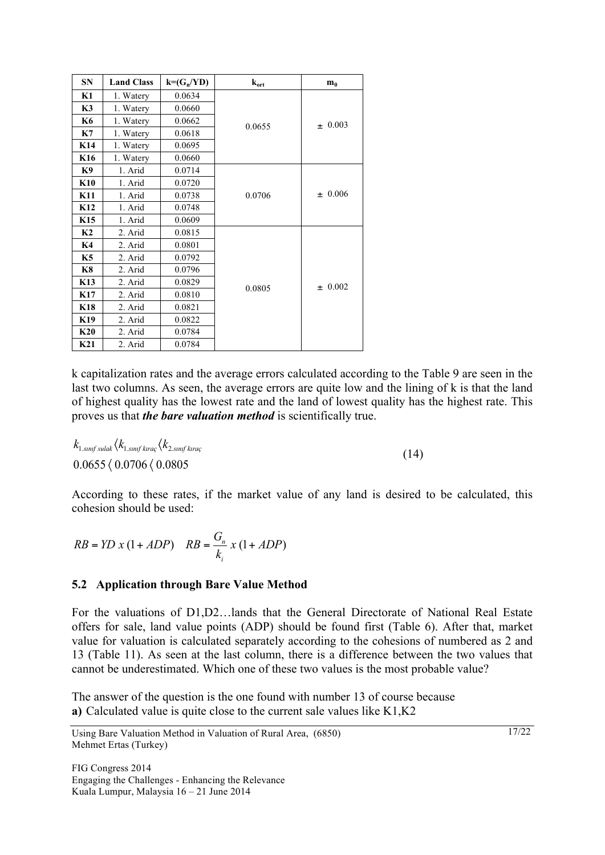| <b>SN</b>       | <b>Land Class</b> | $k = (G_n/VD)$ | $k_{ort}$ | m <sub>0</sub> |  |  |  |  |
|-----------------|-------------------|----------------|-----------|----------------|--|--|--|--|
| <b>K1</b>       | 1. Watery         | 0.0634         |           |                |  |  |  |  |
| K3              | 1. Watery         | 0.0660         |           |                |  |  |  |  |
| K6              | 1. Watery         | 0.0662         | 0.0655    | $\pm 0.003$    |  |  |  |  |
| K7              | 1. Watery         | 0.0618         |           |                |  |  |  |  |
| K14             | 1. Watery         | 0.0695         |           |                |  |  |  |  |
| K <sub>16</sub> | 1. Watery         | 0.0660         |           |                |  |  |  |  |
| K9              | 1. Arid           | 0.0714         |           |                |  |  |  |  |
| <b>K10</b>      | 1. Arid           | 0.0720         |           |                |  |  |  |  |
| K11             | 1. Arid           | 0.0738         | 0.0706    | ± 0.006        |  |  |  |  |
| K <sub>12</sub> | 1. Arid           | 0.0748         |           |                |  |  |  |  |
| K <sub>15</sub> | 1. Arid           | 0.0609         |           |                |  |  |  |  |
| K <sub>2</sub>  | 2. Arid           | 0.0815         |           |                |  |  |  |  |
| K4              | 2. Arid           | 0.0801         |           |                |  |  |  |  |
| K5              | 2. Arid           | 0.0792         |           |                |  |  |  |  |
| <b>K8</b>       | 2. Arid           | 0.0796         |           |                |  |  |  |  |
| <b>K13</b>      | 2. Arid           | 0.0829         | 0.0805    | $\pm 0.002$    |  |  |  |  |
| K17             | 2. Arid           | 0.0810         |           |                |  |  |  |  |
| K18             | 2. Arid           | 0.0821         |           |                |  |  |  |  |
| K19             | 2. Arid           | 0.0822         |           |                |  |  |  |  |
| K20             | 2. Arid           | 0.0784         |           |                |  |  |  |  |
| K21             | 2. Arid           | 0.0784         |           |                |  |  |  |  |

k capitalization rates and the average errors calculated according to the Table 9 are seen in the last two columns. As seen, the average errors are quite low and the lining of k is that the land of highest quality has the lowest rate and the land of lowest quality has the highest rate. This proves us that *the bare valuation method* is scientifically true.

 $k_{\rm 1.3\it{nnf}~sulak} \langle k_{\rm 1.3\it{nnf}~kraq} \langle k_{\rm 2.3\it{nnf}~kraq}$  $0.0655 \left\langle 0.0706 \left\langle 0.0805 \right. \right. \right. \tag{14}$ 

According to these rates, if the market value of any land is desired to be calculated, this cohesion should be used:

$$
RB = YD x (1 + ADP) \quad RB = \frac{G_n}{k_i} x (1 + ADP)
$$

#### **5.2 Application through Bare Value Method**

For the valuations of D1,D2…lands that the General Directorate of National Real Estate offers for sale, land value points (ADP) should be found first (Table 6). After that, market value for valuation is calculated separately according to the cohesions of numbered as 2 and 13 (Table 11). As seen at the last column, there is a difference between the two values that cannot be underestimated. Which one of these two values is the most probable value?

The answer of the question is the one found with number 13 of course because **a)** Calculated value is quite close to the current sale values like K1,K2

Using Bare Valuation Method in Valuation of Rural Area, (6850) Mehmet Ertas (Turkey)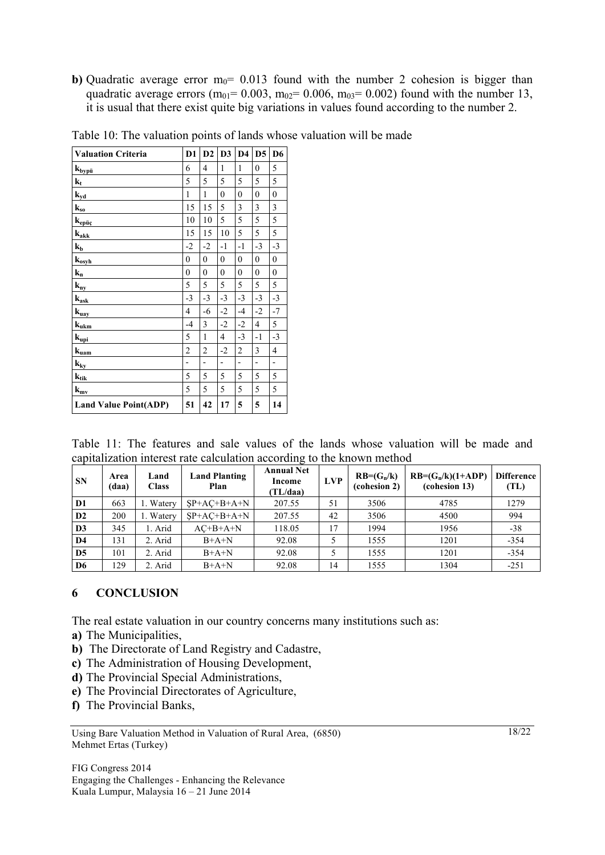**b)** Quadratic average error  $m_0$ = 0.013 found with the number 2 cohesion is bigger than quadratic average errors ( $m_{01}$ = 0.003,  $m_{02}$ = 0.006,  $m_{03}$ = 0.002) found with the number 13, it is usual that there exist quite big variations in values found according to the number 2.

| <b>Valuation Criteria</b>                                                                   | D <sub>1</sub>   | D2             | D <sub>3</sub>   | D <sub>4</sub>   | D <sub>5</sub>   | D <sub>6</sub>   |
|---------------------------------------------------------------------------------------------|------------------|----------------|------------------|------------------|------------------|------------------|
| $\mathbf{k}_{\underline{by}\underline{p}\underline{\ddot{u}}}$                              | 6                | 4              | $\mathbf{1}$     | $\mathbf{1}$     | $\boldsymbol{0}$ | 5                |
| $k_t$                                                                                       | 5                | 5              | 5                | 5                | 5                | 5                |
| $k_{yd}$                                                                                    | 1                | 1              | $\mathbf{0}$     | $\mathbf{0}$     | $\mathbf{0}$     | $\mathbf{0}$     |
| ${\bf k}_{\rm so}$                                                                          | 15               | 15             | 5                | 3                | 3                | 3                |
| $\mathbf{k}_{e \underline{\mathbf{p}} \underline{\ddot{\mathbf{u}}}\underline{\mathbf{c}}}$ | 10               | 10             | 5                | 5                | 5                | 5                |
| ${\bf k}_{\text{a}\text{\it \underline{k}}\text{\it \underline{k}}}$                        | 15               | 15             | 10               | 5                | 5                | 5                |
| $\mathbf{k}_b$                                                                              | $-2$             | $-2$           | $-1$             | $-1$             | $-3$             | $-3$             |
| $k_{o9h}$                                                                                   | $\boldsymbol{0}$ | $\overline{0}$ | $\boldsymbol{0}$ | $\boldsymbol{0}$ | $\overline{0}$   | $\boldsymbol{0}$ |
| $k_{n}$                                                                                     | $\mathbf{0}$     | $\mathbf{0}$   | $\mathbf{0}$     | $\mathbf{0}$     | $\mathbf{0}$     | $\mathbf{0}$     |
| ${\bf k_{ny}}$                                                                              | 5                | 5              | 5                | 5                | 5                | 5                |
| $\mathbf{k}_{\rm ask}$                                                                      | $-3$             | $-3$           | $-3$             | $-3$             | $-3$             | $-3$             |
| $\mathbf{k}_{\text{u$                                                                       | 4                | $-6$           | $-2$             | $-4$             | $-2$             | $-7$             |
| $\mathbf{k}_{\text{u}\underline{\text{k}}\underline{\text{m}}}$                             | $-4$             | 3              | $-2$             | $-2$             | 4                | 5                |
| $\mathbf{k}_{\underline{\text{upi}}}$                                                       | 5                | $\mathbf{1}$   | 4                | $-3$             | $-1$             | $-3$             |
| $\mathbf{k}_{\mathrm{uam}}$                                                                 | $\overline{c}$   | $\overline{2}$ | $-2$             | $\overline{c}$   | 3                | $\overline{4}$   |
| ${\bf k_{ky}}$                                                                              | -                | $\overline{a}$ | $\overline{a}$   | $\overline{a}$   | $\overline{a}$   | $\overline{a}$   |
| ${\bf k}_{\rm tik}$                                                                         | 5                | 5              | 5                | 5                | 5                | 5                |
| $k_{\text{my}}$                                                                             | 5                | 5              | 5                | 5                | 5                | 5                |
| <b>Land Value Point(ADP)</b>                                                                | 51               | 42             | 17               | 5                | 5                | 14               |

Table 10: The valuation points of lands whose valuation will be made

|  |                                                                        |  |  |  | Table 11: The features and sale values of the lands whose valuation will be made and |  |  |
|--|------------------------------------------------------------------------|--|--|--|--------------------------------------------------------------------------------------|--|--|
|  | capitalization interest rate calculation according to the known method |  |  |  |                                                                                      |  |  |

| <b>SN</b>      | Area<br>(daa) | Land<br><b>Class</b> | <b>Land Planting</b><br>Plan | <b>Annual Net</b><br>Income<br>(TL/daa) | <b>LVP</b> | $RB=(G_n/k)$<br>(cohesion 2) | $RB=(G_n/k)(1+ADP)$<br>(cohesion 13) | <b>Difference</b><br>(TL) |
|----------------|---------------|----------------------|------------------------------|-----------------------------------------|------------|------------------------------|--------------------------------------|---------------------------|
| $\mathbf{D}1$  | 663           | 1. Watery            | $SP+AC+B+A+N$                | 207.55                                  | 51         | 3506                         | 4785                                 | 1279                      |
| D2             | 200           | 1. Watery            | $SP+AC+B+A+N$                | 207.55                                  | 42         | 3506                         | 4500                                 | 994                       |
| D <sub>3</sub> | 345           | . Arid               | $AC+B+A+N$                   | 118.05                                  | 17         | 1994                         | 1956                                 | $-38$                     |
| D <sub>4</sub> | 131           | 2. Arid              | $B+A+N$                      | 92.08                                   |            | 1555                         | 1201                                 | $-354$                    |
| D <sub>5</sub> | 101           | 2. Arid              | $B+A+N$                      | 92.08                                   |            | 1555                         | 1201                                 | $-354$                    |
| D <sub>6</sub> | 129           | 2. Arid              | $B+A+N$                      | 92.08                                   | 14         | 1555                         | 1304                                 | $-251$                    |

#### **6 CONCLUSION**

The real estate valuation in our country concerns many institutions such as:

- **a)** The Municipalities,
- **b)** The Directorate of Land Registry and Cadastre,
- **c)** The Administration of Housing Development,
- **d)** The Provincial Special Administrations,
- **e)** The Provincial Directorates of Agriculture,
- **f)** The Provincial Banks,

18/22

Using Bare Valuation Method in Valuation of Rural Area, (6850) Mehmet Ertas (Turkey)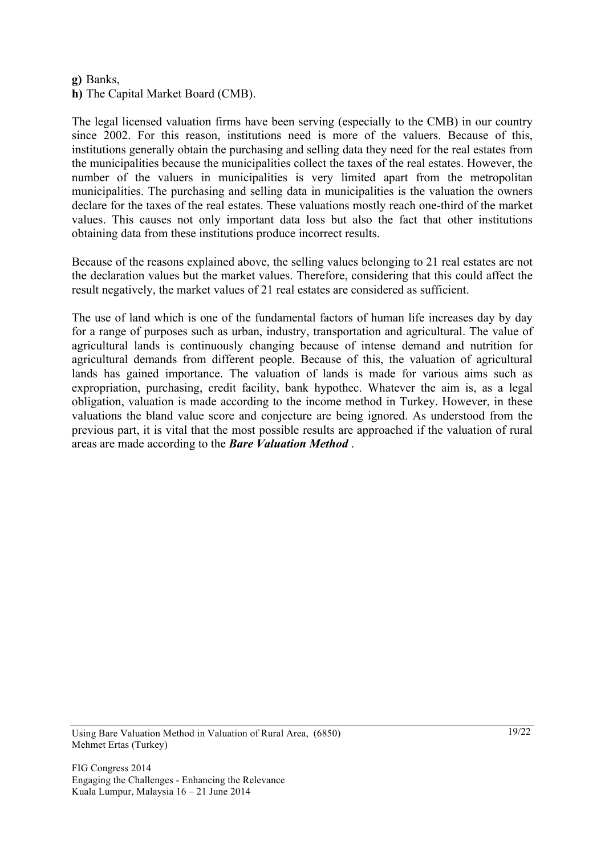#### **g)** Banks,

**h)** The Capital Market Board (CMB).

The legal licensed valuation firms have been serving (especially to the CMB) in our country since 2002. For this reason, institutions need is more of the valuers. Because of this, institutions generally obtain the purchasing and selling data they need for the real estates from the municipalities because the municipalities collect the taxes of the real estates. However, the number of the valuers in municipalities is very limited apart from the metropolitan municipalities. The purchasing and selling data in municipalities is the valuation the owners declare for the taxes of the real estates. These valuations mostly reach one-third of the market values. This causes not only important data loss but also the fact that other institutions obtaining data from these institutions produce incorrect results.

Because of the reasons explained above, the selling values belonging to 21 real estates are not the declaration values but the market values. Therefore, considering that this could affect the result negatively, the market values of 21 real estates are considered as sufficient.

The use of land which is one of the fundamental factors of human life increases day by day for a range of purposes such as urban, industry, transportation and agricultural. The value of agricultural lands is continuously changing because of intense demand and nutrition for agricultural demands from different people. Because of this, the valuation of agricultural lands has gained importance. The valuation of lands is made for various aims such as expropriation, purchasing, credit facility, bank hypothec. Whatever the aim is, as a legal obligation, valuation is made according to the income method in Turkey. However, in these valuations the bland value score and conjecture are being ignored. As understood from the previous part, it is vital that the most possible results are approached if the valuation of rural areas are made according to the *Bare Valuation Method* .

Using Bare Valuation Method in Valuation of Rural Area, (6850) Mehmet Ertas (Turkey)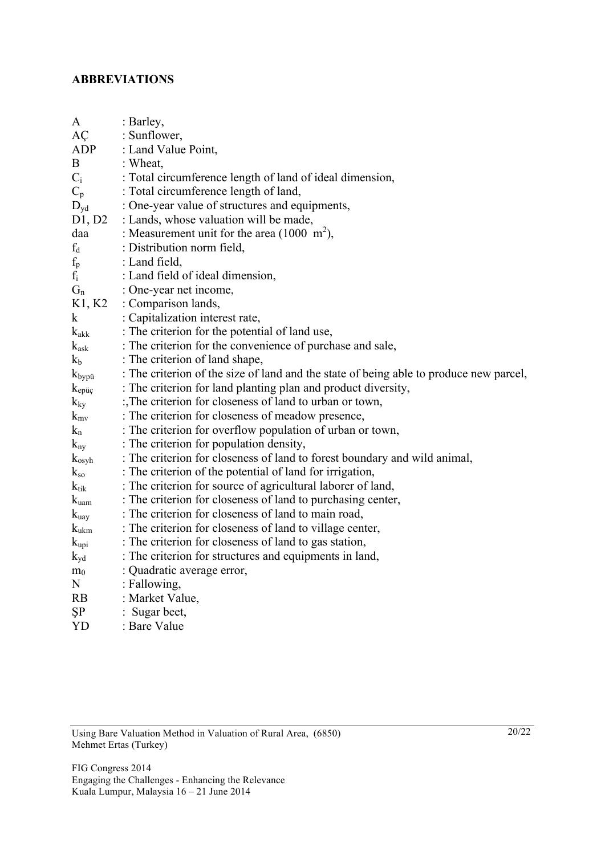## **ABBREVIATIONS**

| A                      | : Barley,                                                                              |
|------------------------|----------------------------------------------------------------------------------------|
| AÇ                     | : Sunflower,                                                                           |
| <b>ADP</b>             | : Land Value Point,                                                                    |
| B                      | : Wheat,                                                                               |
| $C_i$                  | : Total circumference length of land of ideal dimension,                               |
| $C_p$                  | : Total circumference length of land,                                                  |
| $D_{\rm{yd}}$          | : One-year value of structures and equipments,                                         |
| D1, D2                 | : Lands, whose valuation will be made,                                                 |
| daa                    | : Measurement unit for the area $(1000 \text{ m}^2)$ ,                                 |
| $f_d$                  | : Distribution norm field,                                                             |
| $f_p$                  | : Land field,                                                                          |
| $f_i$                  | : Land field of ideal dimension,                                                       |
| $G_n$                  | : One-year net income,                                                                 |
| K1, K2                 | : Comparison lands,                                                                    |
| $\mathbf k$            | : Capitalization interest rate,                                                        |
| $k_{\text{akk}}$       | : The criterion for the potential of land use,                                         |
| $k_{ask}$              | : The criterion for the convenience of purchase and sale,                              |
| $k_b$                  | : The criterion of land shape,                                                         |
| $k_{\text{bypi}}$      | : The criterion of the size of land and the state of being able to produce new parcel, |
| $k_{ep\ddot{\mu}\rho}$ | : The criterion for land planting plan and product diversity,                          |
| $k_{ky}$               | :, The criterion for closeness of land to urban or town,                               |
| $k_{mv}$               | : The criterion for closeness of meadow presence,                                      |
| $k_n$                  | : The criterion for overflow population of urban or town,                              |
| $k_{ny}$               | : The criterion for population density,                                                |
| $k_{osyh}$             | : The criterion for closeness of land to forest boundary and wild animal,              |
| $k_{so}$               | : The criterion of the potential of land for irrigation,                               |
| $k_{tik}$              | : The criterion for source of agricultural laborer of land,                            |
| $k_{\text{uam}}$       | : The criterion for closeness of land to purchasing center,                            |
| $k_{\text{uay}}$       | : The criterion for closeness of land to main road,                                    |
| $k_{ukm}$              | : The criterion for closeness of land to village center,                               |
| $k_{\text{upi}}$       | : The criterion for closeness of land to gas station,                                  |
| $k_{yd}$               | : The criterion for structures and equipments in land,                                 |
| m <sub>0</sub>         | : Quadratic average error,                                                             |
| N                      | : Fallowing,                                                                           |
| <b>RB</b>              | : Market Value,                                                                        |
| ŞP                     | : Sugar beet,                                                                          |
| YD                     | : Bare Value                                                                           |

Using Bare Valuation Method in Valuation of Rural Area, (6850) Mehmet Ertas (Turkey)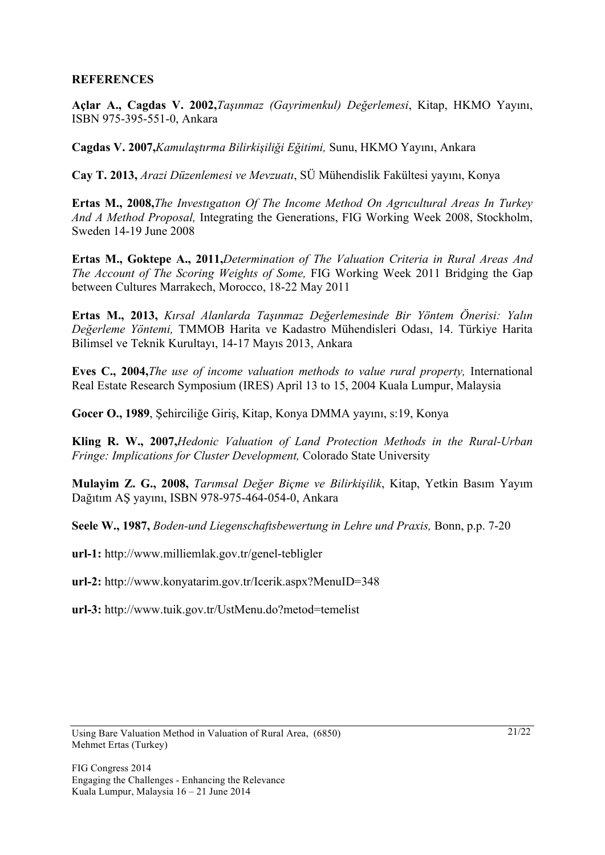### **REFERENCES**

**Açlar A., Cagdas V. 2002,***Taşınmaz (Gayrimenkul) Değerlemesi*, Kitap, HKMO Yayını, ISBN 975-395-551-0, Ankara

**Cagdas V. 2007,***Kamulaştırma Bilirkişiliği Eğitimi,* Sunu, HKMO Yayını, Ankara

**Cay T. 2013,** *Arazi Düzenlemesi ve Mevzuatı*, SÜ Mühendislik Fakültesi yayını, Konya

**Ertas M., 2008,***The Investıgatıon Of The Income Method On Agrıcultural Areas In Turkey And A Method Proposal,* Integrating the Generations, FIG Working Week 2008, Stockholm, Sweden 14-19 June 2008

**Ertas M., Goktepe A., 2011,***Determination of The Valuation Criteria in Rural Areas And The Account of The Scoring Weights of Some,* FIG Working Week 2011 Bridging the Gap between Cultures Marrakech, Morocco, 18-22 May 2011

**Ertas M., 2013,** *Kırsal Alanlarda Taşınmaz Değerlemesinde Bir Yöntem Önerisi: Yalın Değerleme Yöntemi,* TMMOB Harita ve Kadastro Mühendisleri Odası, 14. Türkiye Harita Bilimsel ve Teknik Kurultayı, 14-17 Mayıs 2013, Ankara

**Eves C., 2004,***The use of income valuation methods to value rural property,* International Real Estate Research Symposium (IRES) April 13 to 15, 2004 Kuala Lumpur, Malaysia

**Gocer O., 1989**, Şehirciliğe Giriş, Kitap, Konya DMMA yayını, s:19, Konya

**Kling R. W., 2007,***Hedonic Valuation of Land Protection Methods in the Rural-Urban Fringe: Implications for Cluster Development,* Colorado State University

**Mulayim Z. G., 2008,** *Tarımsal Değer Biçme ve Bilirkişilik*, Kitap, Yetkin Basım Yayım Dağıtım AŞ yayını, ISBN 978-975-464-054-0, Ankara

**Seele W., 1987,** *Boden-und Liegenschaftsbewertung in Lehre und Praxis,* Bonn, p.p. 7-20

**url-1:** http://www.milliemlak.gov.tr/genel-tebligler

**url-2:** http://www.konyatarim.gov.tr/Icerik.aspx?MenuID=348

**url-3:** http://www.tuik.gov.tr/UstMenu.do?metod=temelist

Using Bare Valuation Method in Valuation of Rural Area, (6850) Mehmet Ertas (Turkey)